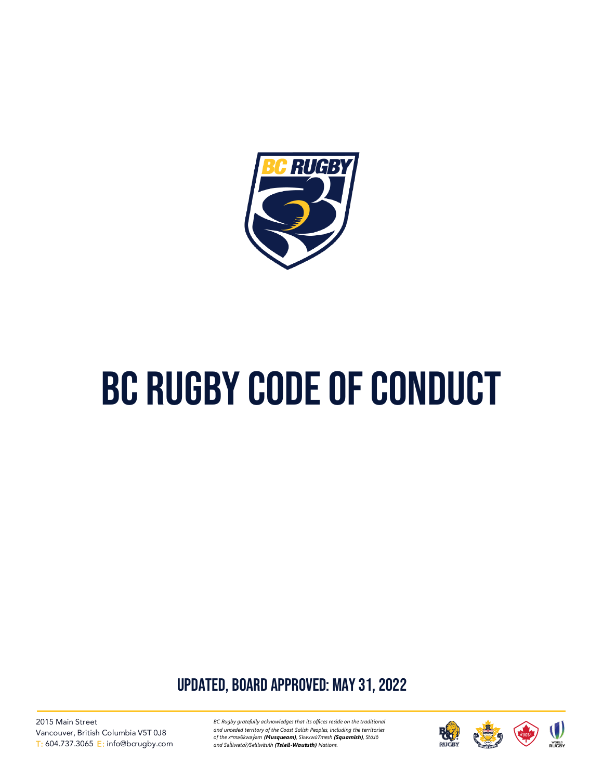

# BC Rugby code of conduct

UPDATED, board approved: may 31, 2022

2015 Main Street Vancouver, British Columbia V5T 0J8 T: 604.737.3065 E: info@bcrugby.com *BC Rugby gratefully acknowledges that its offices reside on the traditional and unceded territory of the Coast Salish Peoples, including the territories of the xʷməθkwəy̓əm (Musqueam), Skwxwú7mesh (Squamish), Stó:lō and Səl̓ ílwətaʔ/Selilwitulh (Tsleil-Waututh) Nations.*

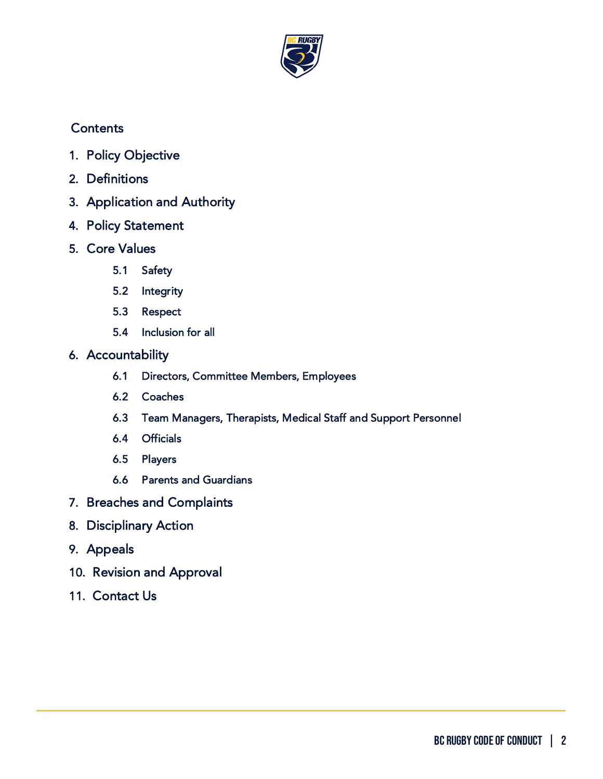

# **Contents**

- 1. [Policy Objective](#page-1-0)
- 2. [Definitions](#page-2-0)
- 3. [Application and Authority](#page-5-0)
- 4. [Policy Statement](#page-6-0)
- 5. Core Values
	- 5.1 Safety
	- 5.2 Integrity
	- 5.3 Respect
	- 5.4 Inclusion for all
- 6. [Accountability](#page-9-0) 
	- 6.1 Directors, Committee Members, Employees
	- 6.2 Coaches
	- 6.3 Team Managers, Therapists, Medical Staff and Support Personnel
	- 6.4 Officials
	- 6.5 Players
	- 6.6 Parents and Guardians
- 7. [Breaches and Complaints](#page-15-0)
- 8. [Disciplinary Action](#page-17-0)
- 9. [Appeals](#page-18-0)
- 10. [Revision and Approval](#page-18-1)
- <span id="page-1-0"></span>11. [Contact Us](#page-19-0)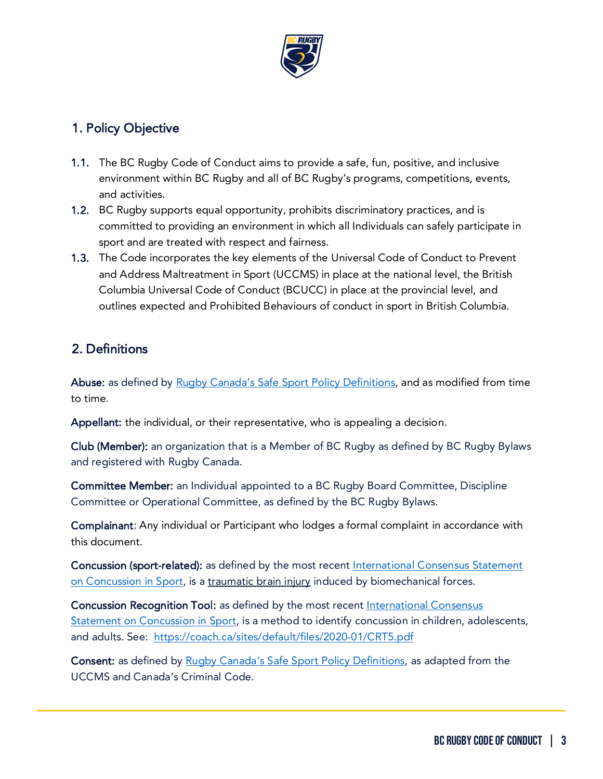

## 1. Policy Objective

- 1.1. The BC Rugby Code of Conduct aims to provide a safe, fun, positive, and inclusive environment within BC Rugby and all of BC Rugby's programs, competitions, events, and activities.
- 1.2. BC Rugby supports equal opportunity, prohibits discriminatory practices, and is committed to providing an environment in which all Individuals can safely participate in sport and are treated with respect and fairness.
- 1.3. The Code incorporates the key elements of the Universal Code of Conduct to Prevent and Address Maltreatment in Sport (UCCMS) in place at the national level, the British Columbia Universal Code of Conduct (BCUCC) in place at the provincial level, and outlines expected and Prohibited Behaviours of conduct in sport in British Columbia.

# <span id="page-2-0"></span>2. Definitions

Abuse: as defined by Rugby Canada's Safe [Sport Policy Definitions,](https://rugby.ca/en/hq/safe-sport) and as modified from time to time.

Appellant: the individual, or their representative, who is appealing a decision.

Club (Member): an organization that is a Member of BC Rugby as defined by BC Rugby Bylaws and registered with Rugby Canada.

Committee Member: an Individual appointed to a BC Rugby Board Committee, Discipline Committee or Operational Committee, as defined by the BC Rugby Bylaws.

Complainant: Any individual or Participant who lodges a formal complaint in accordance with this document.

Concussion (sport-related): as defined by the most recent [International Consensus Statement](https://bjsm.bmj.com/content/51/11/838)  [on Concussion](https://bjsm.bmj.com/content/51/11/838) in Sport, is a traumatic brain injury induced by biomechanical forces.

Concussion Recognition Tool: as defined by the most recent International Consensus [Statement on Concussion in Sport,](https://bjsm.bmj.com/content/51/11/838) is a method to identify concussion in children, adolescents, and adults. See: <https://coach.ca/sites/default/files/2020-01/CRT5.pdf>

Consent: as defined by [Rugby Canada's Safe Sport Policy Definitions,](https://rugby.ca/en/hq/safe-sport) as adapted from the UCCMS and Canada's Criminal Code.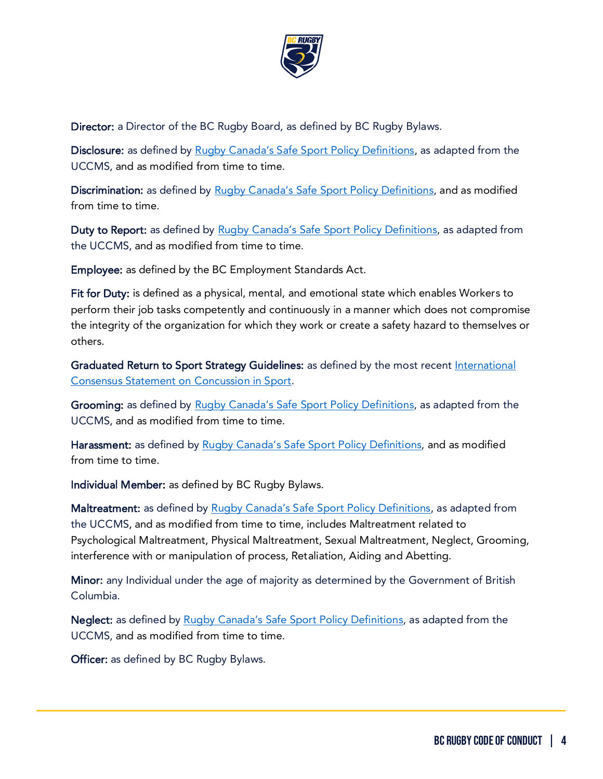

Director: a Director of the BC Rugby Board, as defined by BC Rugby Bylaws.

Disclosure: as defined by [Rugby Canada's Safe Sport Policy Definitions,](https://rugby.ca/en/hq/safe-sport) as adapted from the UCCMS, and as modified from time to time.

Discrimination: as defined by Rugby Canada's Safe [Sport Policy Definitions,](https://rugby.ca/en/hq/safe-sport) and as modified from time to time.

Duty to Report: as defined by [Rugby Canada's Safe Sport Policy Definitions,](https://rugby.ca/en/hq/safe-sport) as adapted from the UCCMS, and as modified from time to time.

Employee: as defined by the BC Employment Standards Act.

Fit for Duty: is defined as a physical, mental, and emotional state which enables Workers to perform their job tasks competently and continuously in a manner which does not compromise the integrity of the organization for which they work or create a safety hazard to themselves or others.

Graduated Return to Sport Strategy Guidelines: as defined by the most recent International [Consensus Statement on Concussion in Sport.](https://bjsm.bmj.com/content/51/11/838)

Grooming: as defined by [Rugby Canada's Safe Sport Policy Definitions,](https://rugby.ca/en/hq/safe-sport) as adapted from the UCCMS, and as modified from time to time.

Harassment: as defined by Rugby Canada's Safe [Sport Policy Definitions,](https://rugby.ca/en/hq/safe-sport) and as modified from time to time.

Individual Member: as defined by BC Rugby Bylaws.

Maltreatment: as defined by [Rugby Canada's Safe Sport Policy Definitions,](https://rugby.ca/en/hq/safe-sport) as adapted from the UCCMS, and as modified from time to time, includes Maltreatment related to Psychological Maltreatment, Physical Maltreatment, Sexual Maltreatment, Neglect, Grooming, interference with or manipulation of process, Retaliation, Aiding and Abetting.

Minor: any Individual under the age of majority as determined by the Government of British Columbia.

Neglect: as defined by [Rugby Canada's Safe Sport Policy Definitions,](https://rugby.ca/en/hq/safe-sport) as adapted from the UCCMS, and as modified from time to time.

Officer: as defined by BC Rugby Bylaws.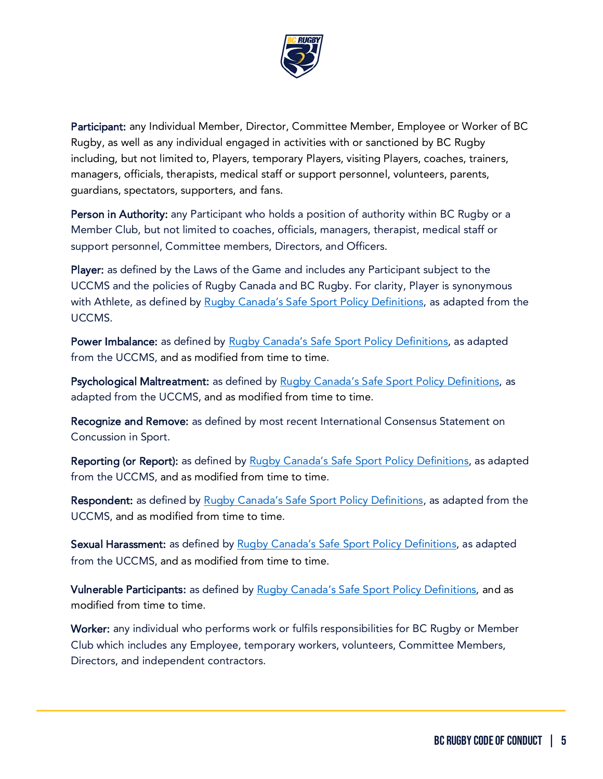

Participant: any Individual Member, Director, Committee Member, Employee or Worker of BC Rugby, as well as any individual engaged in activities with or sanctioned by BC Rugby including, but not limited to, Players, temporary Players, visiting Players, coaches, trainers, managers, officials, therapists, medical staff or support personnel, volunteers, parents, guardians, spectators, supporters, and fans.

Person in Authority: any Participant who holds a position of authority within BC Rugby or a Member Club, but not limited to coaches, officials, managers, therapist, medical staff or support personnel, Committee members, Directors, and Officers.

Player: as defined by the Laws of the Game and includes any Participant subject to the UCCMS and the policies of Rugby Canada and BC Rugby. For clarity, Player is synonymous with Athlete, as defined by [Rugby Canada's Safe Sport Policy Definitions,](https://rugby.ca/en/hq/safe-sport) as adapted from the UCCMS.

Power Imbalance: as defined by [Rugby Canada's Safe Sport Policy Definitions,](https://rugby.ca/en/hq/safe-sport) as adapted from the UCCMS, and as modified from time to time.

Psychological Maltreatment: as defined by [Rugby Canada's Safe Sport Policy Definitions,](https://rugby.ca/en/hq/safe-sport) as adapted from the UCCMS, and as modified from time to time.

Recognize and Remove: as defined by most recent International Consensus Statement on Concussion in Sport.

Reporting (or Report): as defined by [Rugby Canada's Safe Sport Policy Definitions,](https://rugby.ca/en/hq/safe-sport) as adapted from the UCCMS, and as modified from time to time.

Respondent: as defined by [Rugby Canada's Safe Sport Policy Definitions,](https://rugby.ca/en/hq/safe-sport) as adapted from the UCCMS, and as modified from time to time.

Sexual Harassment: as defined by [Rugby Canada's Safe Sport Policy Definitions,](https://rugby.ca/en/hq/safe-sport) as adapted from the UCCMS, and as modified from time to time.

Vulnerable Participants: as defined by Rugby Canada's Safe [Sport Policy Definitions,](https://rugby.ca/en/hq/safe-sport) and as modified from time to time.

Worker: any individual who performs work or fulfils responsibilities for BC Rugby or Member Club which includes any Employee, temporary workers, volunteers, Committee Members, Directors, and independent contractors.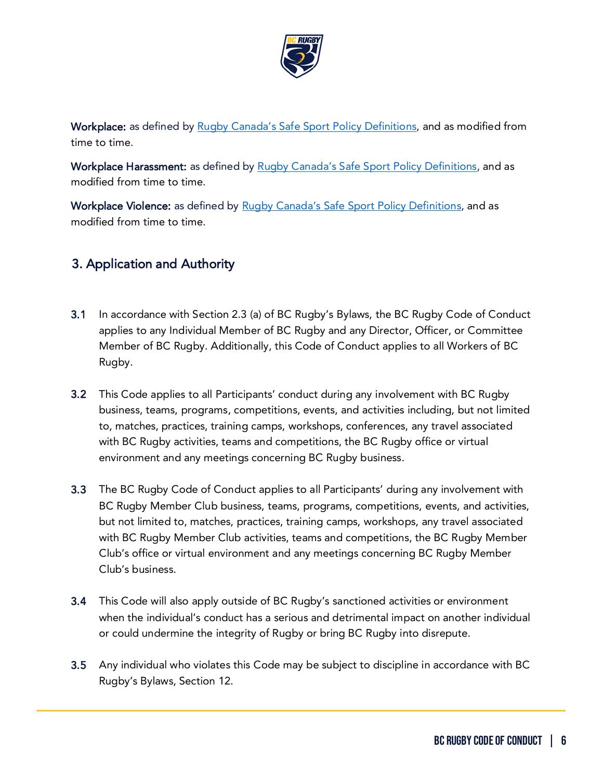

Workplace: as defined by Rugby Canada's Safe [Sport Policy Definitions,](https://rugby.ca/en/hq/safe-sport) and as modified from time to time.

Workplace Harassment: as defined by Rugby Canada's Safe [Sport Policy Definitions,](https://rugby.ca/en/hq/safe-sport) and as modified from time to time.

Workplace Violence: as defined by Rugby Canada's Safe [Sport Policy Definitions,](https://rugby.ca/en/hq/safe-sport) and as modified from time to time.

# <span id="page-5-0"></span>3. Application and Authority

- 3.1 In accordance with Section 2.3 (a) of BC Rugby's Bylaws, the BC Rugby Code of Conduct applies to any Individual Member of BC Rugby and any Director, Officer, or Committee Member of BC Rugby. Additionally, this Code of Conduct applies to all Workers of BC Rugby.
- 3.2 This Code applies to all Participants' conduct during any involvement with BC Rugby business, teams, programs, competitions, events, and activities including, but not limited to, matches, practices, training camps, workshops, conferences, any travel associated with BC Rugby activities, teams and competitions, the BC Rugby office or virtual environment and any meetings concerning BC Rugby business.
- 3.3 The BC Rugby Code of Conduct applies to all Participants' during any involvement with BC Rugby Member Club business, teams, programs, competitions, events, and activities, but not limited to, matches, practices, training camps, workshops, any travel associated with BC Rugby Member Club activities, teams and competitions, the BC Rugby Member Club's office or virtual environment and any meetings concerning BC Rugby Member Club's business.
- 3.4 This Code will also apply outside of BC Rugby's sanctioned activities or environment when the individual's conduct has a serious and detrimental impact on another individual or could undermine the integrity of Rugby or bring BC Rugby into disrepute.
- 3.5 Any individual who violates this Code may be subject to discipline in accordance with BC Rugby's Bylaws, Section 12.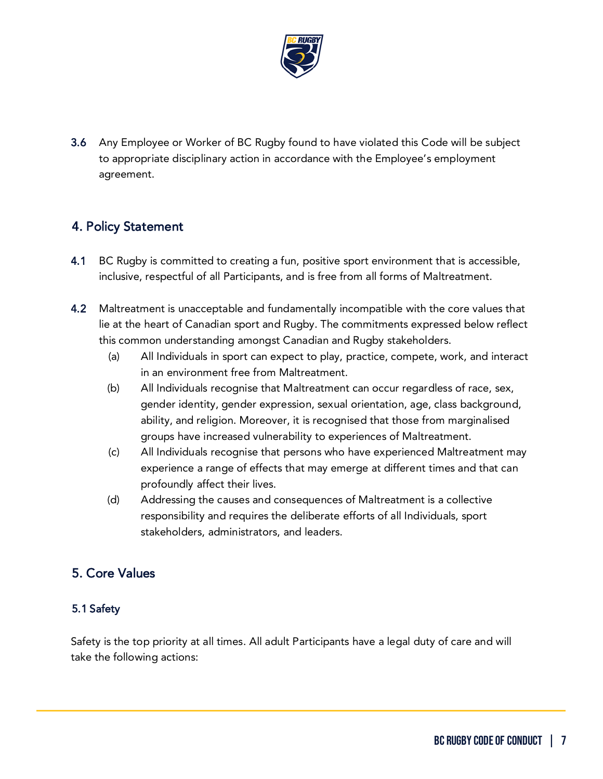

3.6 Any Employee or Worker of BC Rugby found to have violated this Code will be subject to appropriate disciplinary action in accordance with the Employee's employment agreement.

## <span id="page-6-0"></span>4. Policy Statement

- 4.1 BC Rugby is committed to creating a fun, positive sport environment that is accessible, inclusive, respectful of all Participants, and is free from all forms of Maltreatment.
- 4.2 Maltreatment is unacceptable and fundamentally incompatible with the core values that lie at the heart of Canadian sport and Rugby. The commitments expressed below reflect this common understanding amongst Canadian and Rugby stakeholders.
	- (a) All Individuals in sport can expect to play, practice, compete, work, and interact in an environment free from Maltreatment.
	- (b) All Individuals recognise that Maltreatment can occur regardless of race, sex, gender identity, gender expression, sexual orientation, age, class background, ability, and religion. Moreover, it is recognised that those from marginalised groups have increased vulnerability to experiences of Maltreatment.
	- (c) All Individuals recognise that persons who have experienced Maltreatment may experience a range of effects that may emerge at different times and that can profoundly affect their lives.
	- (d) Addressing the causes and consequences of Maltreatment is a collective responsibility and requires the deliberate efforts of all Individuals, sport stakeholders, administrators, and leaders.

## 5. Core Values

#### 5.1 Safety

Safety is the top priority at all times. All adult Participants have a legal duty of care and will take the following actions: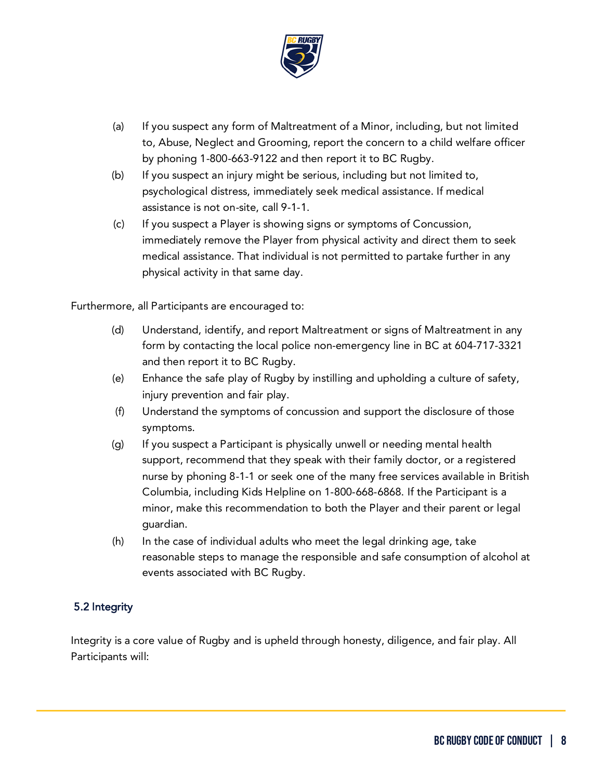

- (a) If you suspect any form of Maltreatment of a Minor, including, but not limited to, Abuse, Neglect and Grooming, report the concern to a child welfare officer by phoning 1-800-663-9122 and then report it to BC Rugby.
- (b) If you suspect an injury might be serious, including but not limited to, psychological distress, immediately seek medical assistance. If medical assistance is not on-site, call 9-1-1.
- (c) If you suspect a Player is showing signs or symptoms of Concussion, immediately remove the Player from physical activity and direct them to seek medical assistance. That individual is not permitted to partake further in any physical activity in that same day.

Furthermore, all Participants are encouraged to:

- (d) Understand, identify, and report Maltreatment or signs of Maltreatment in any form by contacting the local police non-emergency line in BC at 604-717-3321 and then report it to BC Rugby.
- (e) Enhance the safe play of Rugby by instilling and upholding a culture of safety, injury prevention and fair play.
- (f) Understand the symptoms of concussion and support the disclosure of those symptoms.
- (g) If you suspect a Participant is physically unwell or needing mental health support, recommend that they speak with their family doctor, or a registered nurse by phoning 8-1-1 or seek one of the many free services available in British Columbia, including Kids Helpline on 1-800-668-6868. If the Participant is a minor, make this recommendation to both the Player and their parent or legal guardian.
- (h) In the case of individual adults who meet the legal drinking age, take reasonable steps to manage the responsible and safe consumption of alcohol at events associated with BC Rugby.

#### 5.2 Integrity

Integrity is a core value of Rugby and is upheld through honesty, diligence, and fair play. All Participants will: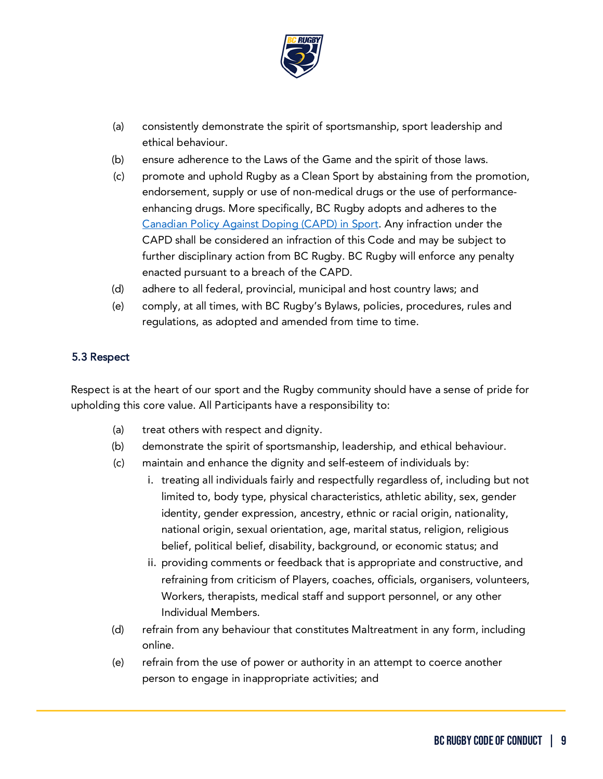

- (a) consistently demonstrate the spirit of sportsmanship, sport leadership and ethical behaviour.
- (b) ensure adherence to the Laws of the Game and the spirit of those laws.
- (c) promote and uphold Rugby as a Clean Sport by abstaining from the promotion, endorsement, supply or use of non-medical drugs or the use of performanceenhancing drugs. More specifically, BC Rugby adopts and adheres to the [Canadian Policy Against Doping](https://cces.ca/canadian-anti-doping-program) (CAPD) in Sport. Any infraction under the CAPD shall be considered an infraction of this Code and may be subject to further disciplinary action from BC Rugby. BC Rugby will enforce any penalty enacted pursuant to a breach of the CAPD.
- (d) adhere to all federal, provincial, municipal and host country laws; and
- (e) comply, at all times, with BC Rugby's Bylaws, policies, procedures, rules and regulations, as adopted and amended from time to time.

#### 5.3 Respect

Respect is at the heart of our sport and the Rugby community should have a sense of pride for upholding this core value. All Participants have a responsibility to:

- (a) treat others with respect and dignity.
- (b) demonstrate the spirit of sportsmanship, leadership, and ethical behaviour.
- (c) maintain and enhance the dignity and self-esteem of individuals by:
	- i. treating all individuals fairly and respectfully regardless of, including but not limited to, body type, physical characteristics, athletic ability, sex, gender identity, gender expression, ancestry, ethnic or racial origin, nationality, national origin, sexual orientation, age, marital status, religion, religious belief, political belief, disability, background, or economic status; and
	- ii. providing comments or feedback that is appropriate and constructive, and refraining from criticism of Players, coaches, officials, organisers, volunteers, Workers, therapists, medical staff and support personnel, or any other Individual Members.
- (d) refrain from any behaviour that constitutes Maltreatment in any form, including online.
- (e) refrain from the use of power or authority in an attempt to coerce another person to engage in inappropriate activities; and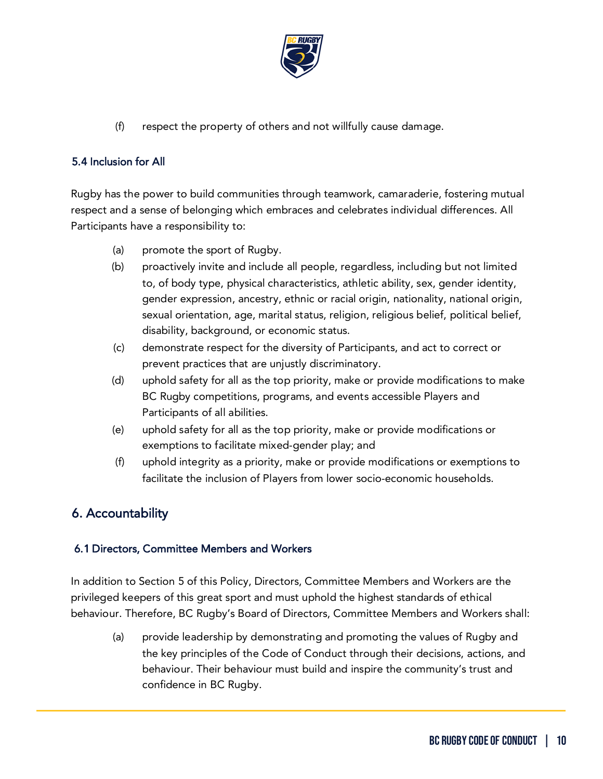

(f) respect the property of others and not willfully cause damage.

#### 5.4 Inclusion for All

Rugby has the power to build communities through teamwork, camaraderie, fostering mutual respect and a sense of belonging which embraces and celebrates individual differences. All Participants have a responsibility to:

- (a) promote the sport of Rugby.
- (b) proactively invite and include all people, regardless, including but not limited to, of body type, physical characteristics, athletic ability, sex, gender identity, gender expression, ancestry, ethnic or racial origin, nationality, national origin, sexual orientation, age, marital status, religion, religious belief, political belief, disability, background, or economic status.
- (c) demonstrate respect for the diversity of Participants, and act to correct or prevent practices that are unjustly discriminatory.
- (d) uphold safety for all as the top priority, make or provide modifications to make BC Rugby competitions, programs, and events accessible Players and Participants of all abilities.
- (e) uphold safety for all as the top priority, make or provide modifications or exemptions to facilitate mixed-gender play; and
- (f) uphold integrity as a priority, make or provide modifications or exemptions to facilitate the inclusion of Players from lower socio-economic households.

## <span id="page-9-0"></span>6. Accountability

#### 6.1 Directors, Committee Members and Workers

In addition to Section 5 of this Policy, Directors, Committee Members and Workers are the privileged keepers of this great sport and must uphold the highest standards of ethical behaviour. Therefore, BC Rugby's Board of Directors, Committee Members and Workers shall:

(a) provide leadership by demonstrating and promoting the values of Rugby and the key principles of the Code of Conduct through their decisions, actions, and behaviour. Their behaviour must build and inspire the community's trust and confidence in BC Rugby.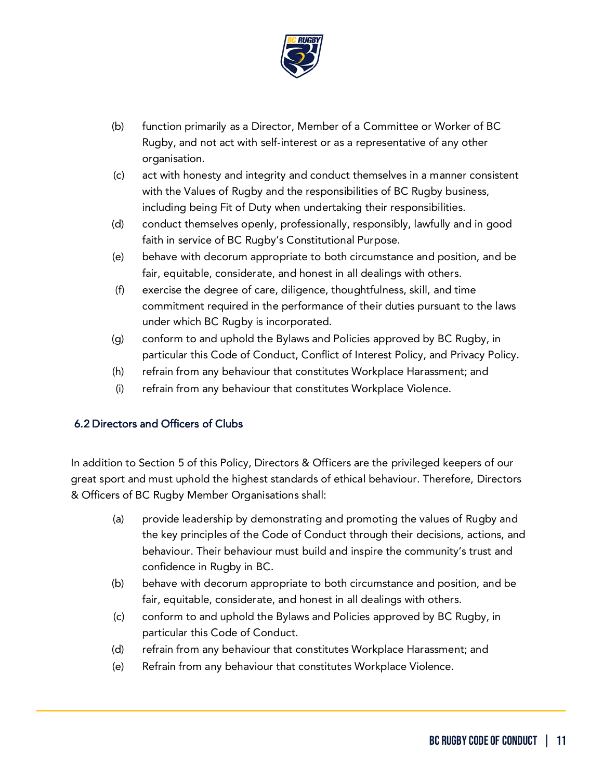

- (b) function primarily as a Director, Member of a Committee or Worker of BC Rugby, and not act with self-interest or as a representative of any other organisation.
- (c) act with honesty and integrity and conduct themselves in a manner consistent with the Values of Rugby and the responsibilities of BC Rugby business, including being Fit of Duty when undertaking their responsibilities.
- (d) conduct themselves openly, professionally, responsibly, lawfully and in good faith in service of BC Rugby's Constitutional Purpose.
- (e) behave with decorum appropriate to both circumstance and position, and be fair, equitable, considerate, and honest in all dealings with others.
- (f) exercise the degree of care, diligence, thoughtfulness, skill, and time commitment required in the performance of their duties pursuant to the laws under which BC Rugby is incorporated.
- (g) conform to and uphold the Bylaws and Policies approved by BC Rugby, in particular this Code of Conduct, Conflict of Interest Policy, and Privacy Policy.
- (h) refrain from any behaviour that constitutes Workplace Harassment; and
- (i) refrain from any behaviour that constitutes Workplace Violence.

#### 6.2 Directors and Officers of Clubs

In addition to Section 5 of this Policy, Directors & Officers are the privileged keepers of our great sport and must uphold the highest standards of ethical behaviour. Therefore, Directors & Officers of BC Rugby Member Organisations shall:

- (a) provide leadership by demonstrating and promoting the values of Rugby and the key principles of the Code of Conduct through their decisions, actions, and behaviour. Their behaviour must build and inspire the community's trust and confidence in Rugby in BC.
- (b) behave with decorum appropriate to both circumstance and position, and be fair, equitable, considerate, and honest in all dealings with others.
- (c) conform to and uphold the Bylaws and Policies approved by BC Rugby, in particular this Code of Conduct.
- (d) refrain from any behaviour that constitutes Workplace Harassment; and
- (e) Refrain from any behaviour that constitutes Workplace Violence.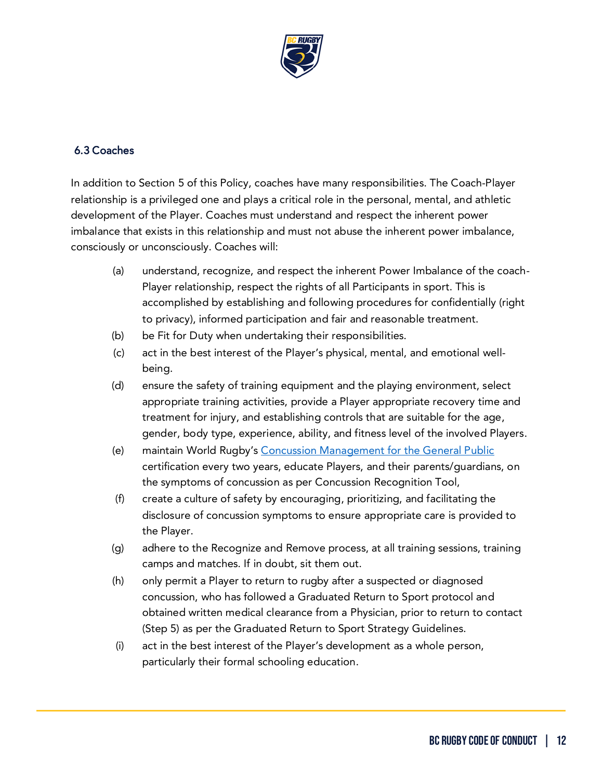

#### 6.3 Coaches

In addition to Section 5 of this Policy, coaches have many responsibilities. The Coach-Player relationship is a privileged one and plays a critical role in the personal, mental, and athletic development of the Player. Coaches must understand and respect the inherent power imbalance that exists in this relationship and must not abuse the inherent power imbalance, consciously or unconsciously. Coaches will:

- (a) understand, recognize, and respect the inherent Power Imbalance of the coach-Player relationship, respect the rights of all Participants in sport. This is accomplished by establishing and following procedures for confidentially (right to privacy), informed participation and fair and reasonable treatment.
- (b) be Fit for Duty when undertaking their responsibilities.
- (c) act in the best interest of the Player's physical, mental, and emotional wellbeing.
- (d) ensure the safety of training equipment and the playing environment, select appropriate training activities, provide a Player appropriate recovery time and treatment for injury, and establishing controls that are suitable for the age, gender, body type, experience, ability, and fitness level of the involved Players.
- (e) maintain World Rugby's [Concussion Management for the General Public](https://passport.world.rugby/player-welfare-medical/concussion-management-for-the-general-public/) certification every two years, educate Players, and their parents/guardians, on the symptoms of concussion as per Concussion Recognition Tool,
- (f) create a culture of safety by encouraging, prioritizing, and facilitating the disclosure of concussion symptoms to ensure appropriate care is provided to the Player.
- (g) adhere to the Recognize and Remove process, at all training sessions, training camps and matches. If in doubt, sit them out.
- (h) only permit a Player to return to rugby after a suspected or diagnosed concussion, who has followed a Graduated Return to Sport protocol and obtained written medical clearance from a Physician, prior to return to contact (Step 5) as per the Graduated Return to Sport Strategy Guidelines.
- (i) act in the best interest of the Player's development as a whole person, particularly their formal schooling education.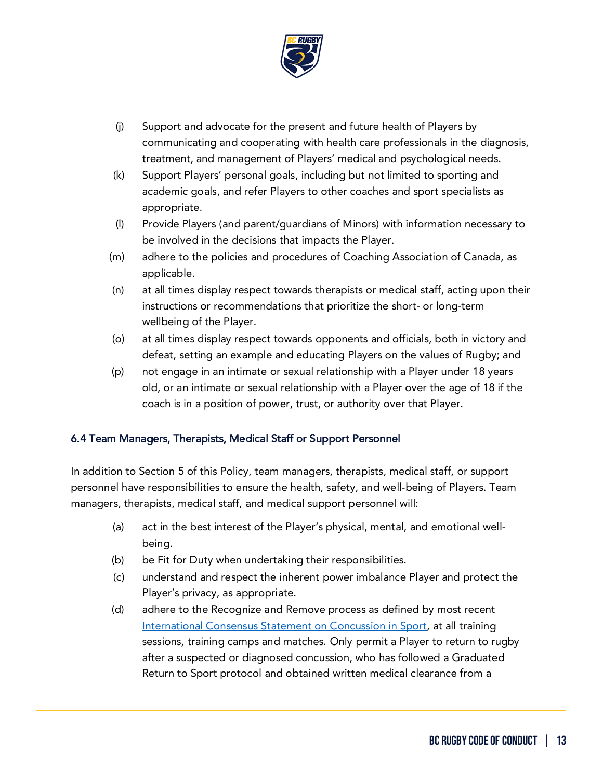

- (j) Support and advocate for the present and future health of Players by communicating and cooperating with health care professionals in the diagnosis, treatment, and management of Players' medical and psychological needs.
- (k) Support Players' personal goals, including but not limited to sporting and academic goals, and refer Players to other coaches and sport specialists as appropriate.
- (l) Provide Players (and parent/guardians of Minors) with information necessary to be involved in the decisions that impacts the Player.
- (m) adhere to the policies and procedures of Coaching Association of Canada, as applicable.
- (n) at all times display respect towards therapists or medical staff, acting upon their instructions or recommendations that prioritize the short- or long-term wellbeing of the Player.
- (o) at all times display respect towards opponents and officials, both in victory and defeat, setting an example and educating Players on the values of Rugby; and
- (p) not engage in an intimate or sexual relationship with a Player under 18 years old, or an intimate or sexual relationship with a Player over the age of 18 if the coach is in a position of power, trust, or authority over that Player.

#### 6.4 Team Managers, Therapists, Medical Staff or Support Personnel

In addition to Section 5 of this Policy, team managers, therapists, medical staff, or support personnel have responsibilities to ensure the health, safety, and well-being of Players. Team managers, therapists, medical staff, and medical support personnel will:

- (a) act in the best interest of the Player's physical, mental, and emotional wellbeing.
- (b) be Fit for Duty when undertaking their responsibilities.
- (c) understand and respect the inherent power imbalance Player and protect the Player's privacy, as appropriate.
- (d) adhere to the Recognize and Remove process as defined by most recent [International Consensus Statement on Concussion in Sport,](https://bjsm.bmj.com/content/51/11/838) at all training sessions, training camps and matches. Only permit a Player to return to rugby after a suspected or diagnosed concussion, who has followed a Graduated Return to Sport protocol and obtained written medical clearance from a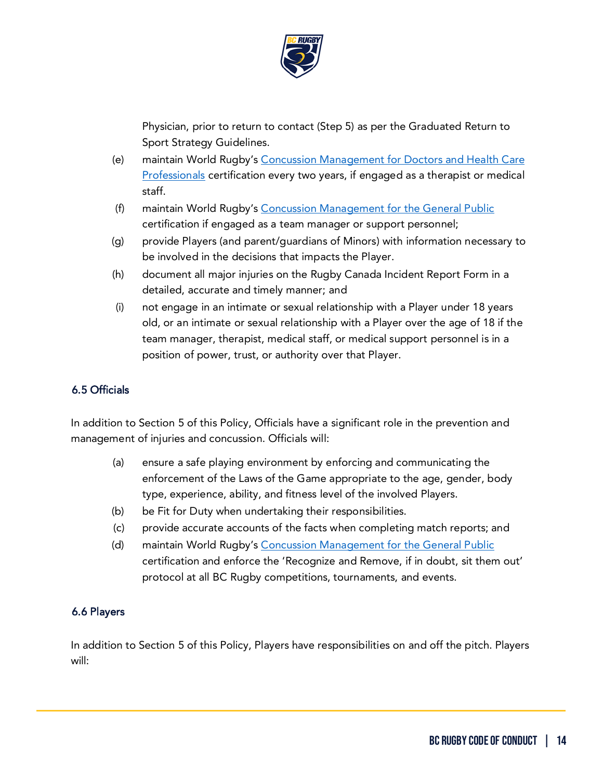

Physician, prior to return to contact (Step 5) as per the Graduated Return to Sport Strategy Guidelines.

- (e) maintain World Rugby's [Concussion Management for Doctors and Health Care](https://passport.world.rugby/player-welfare-medical/concussion-management-for-doctors-and-health-care-professionals/)  [Professionals](https://passport.world.rugby/player-welfare-medical/concussion-management-for-doctors-and-health-care-professionals/) certification every two years, if engaged as a therapist or medical staff.
- (f) maintain World Rugby's [Concussion Management for the General Public](https://passport.world.rugby/player-welfare-medical/concussion-management-for-the-general-public/) certification if engaged as a team manager or support personnel;
- (g) provide Players (and parent/guardians of Minors) with information necessary to be involved in the decisions that impacts the Player.
- (h) document all major injuries on the Rugby Canada Incident Report Form in a detailed, accurate and timely manner; and
- (i) not engage in an intimate or sexual relationship with a Player under 18 years old, or an intimate or sexual relationship with a Player over the age of 18 if the team manager, therapist, medical staff, or medical support personnel is in a position of power, trust, or authority over that Player.

#### 6.5 Officials

In addition to Section 5 of this Policy, Officials have a significant role in the prevention and management of injuries and concussion. Officials will:

- (a) ensure a safe playing environment by enforcing and communicating the enforcement of the Laws of the Game appropriate to the age, gender, body type, experience, ability, and fitness level of the involved Players.
- (b) be Fit for Duty when undertaking their responsibilities.
- (c) provide accurate accounts of the facts when completing match reports; and
- (d) maintain World Rugby's [Concussion Management for the General Public](https://passport.world.rugby/player-welfare-medical/concussion-management-for-the-general-public/) certification and enforce the 'Recognize and Remove, if in doubt, sit them out' protocol at all BC Rugby competitions, tournaments, and events.

#### 6.6 Players

In addition to Section 5 of this Policy, Players have responsibilities on and off the pitch. Players will: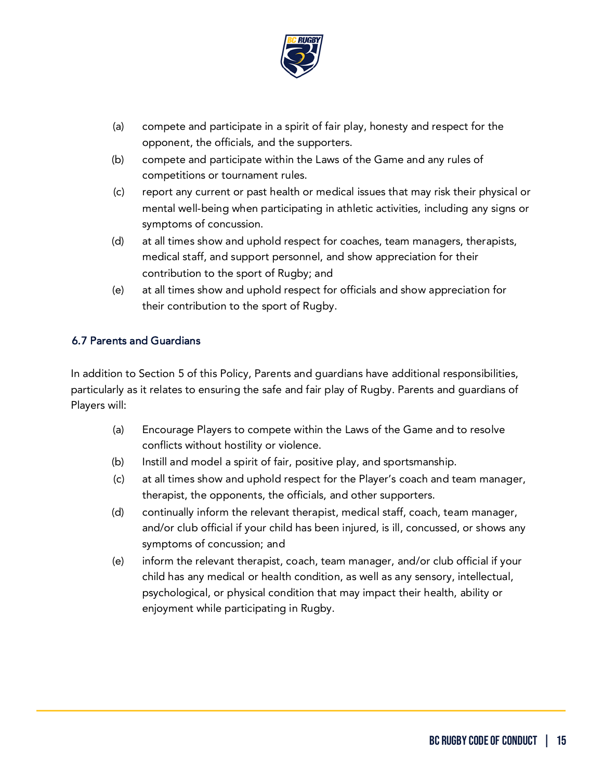

- (a) compete and participate in a spirit of fair play, honesty and respect for the opponent, the officials, and the supporters.
- (b) compete and participate within the Laws of the Game and any rules of competitions or tournament rules.
- (c) report any current or past health or medical issues that may risk their physical or mental well-being when participating in athletic activities, including any signs or symptoms of concussion.
- (d) at all times show and uphold respect for coaches, team managers, therapists, medical staff, and support personnel, and show appreciation for their contribution to the sport of Rugby; and
- (e) at all times show and uphold respect for officials and show appreciation for their contribution to the sport of Rugby.

#### 6.7 Parents and Guardians

In addition to Section 5 of this Policy, Parents and guardians have additional responsibilities, particularly as it relates to ensuring the safe and fair play of Rugby. Parents and guardians of Players will:

- (a) Encourage Players to compete within the Laws of the Game and to resolve conflicts without hostility or violence.
- (b) Instill and model a spirit of fair, positive play, and sportsmanship.
- (c) at all times show and uphold respect for the Player's coach and team manager, therapist, the opponents, the officials, and other supporters.
- (d) continually inform the relevant therapist, medical staff, coach, team manager, and/or club official if your child has been injured, is ill, concussed, or shows any symptoms of concussion; and
- (e) inform the relevant therapist, coach, team manager, and/or club official if your child has any medical or health condition, as well as any sensory, intellectual, psychological, or physical condition that may impact their health, ability or enjoyment while participating in Rugby.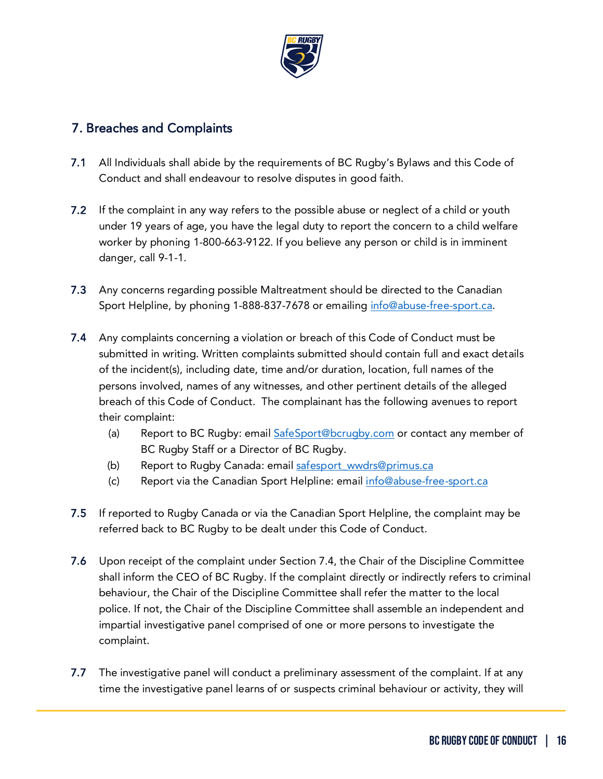

## <span id="page-15-0"></span>7. Breaches and Complaints

- 7.1 All Individuals shall abide by the requirements of BC Rugby's Bylaws and this Code of Conduct and shall endeavour to resolve disputes in good faith.
- 7.2 If the complaint in any way refers to the possible abuse or neglect of a child or youth under 19 years of age, you have the legal duty to report the concern to a child welfare worker by phoning 1-800-663-9122. If you believe any person or child is in imminent danger, call 9-1-1.
- 7.3 Any concerns regarding possible Maltreatment should be directed to the Canadian Sport Helpline, by phoning 1-888-837-7678 or emailing [info@abuse-free-sport.ca.](mailto:info@abuse-free-sport.ca)
- 7.4 Any complaints concerning a violation or breach of this Code of Conduct must be submitted in writing. Written complaints submitted should contain full and exact details of the incident(s), including date, time and/or duration, location, full names of the persons involved, names of any witnesses, and other pertinent details of the alleged breach of this Code of Conduct. The complainant has the following avenues to report their complaint:
	- (a) Report to BC Rugby: email [SafeSport@bcrugby.com](mailto:SafeSport@bcrugby.com) or contact any member of BC Rugby Staff or a Director of BC Rugby.
	- (b) Report to Rugby Canada: email safesport\_wwdrs@primus.ca
	- (c) Report via the Canadian Sport Helpline: email [info@abuse-free-sport.ca](mailto:info@abuse-free-sport.ca)
- 7.5 If reported to Rugby Canada or via the Canadian Sport Helpline, the complaint may be referred back to BC Rugby to be dealt under this Code of Conduct.
- 7.6 Upon receipt of the complaint under Section 7.4, the Chair of the Discipline Committee shall inform the CEO of BC Rugby. If the complaint directly or indirectly refers to criminal behaviour, the Chair of the Discipline Committee shall refer the matter to the local police. If not, the Chair of the Discipline Committee shall assemble an independent and impartial investigative panel comprised of one or more persons to investigate the complaint.
- 7.7 The investigative panel will conduct a preliminary assessment of the complaint. If at any time the investigative panel learns of or suspects criminal behaviour or activity, they will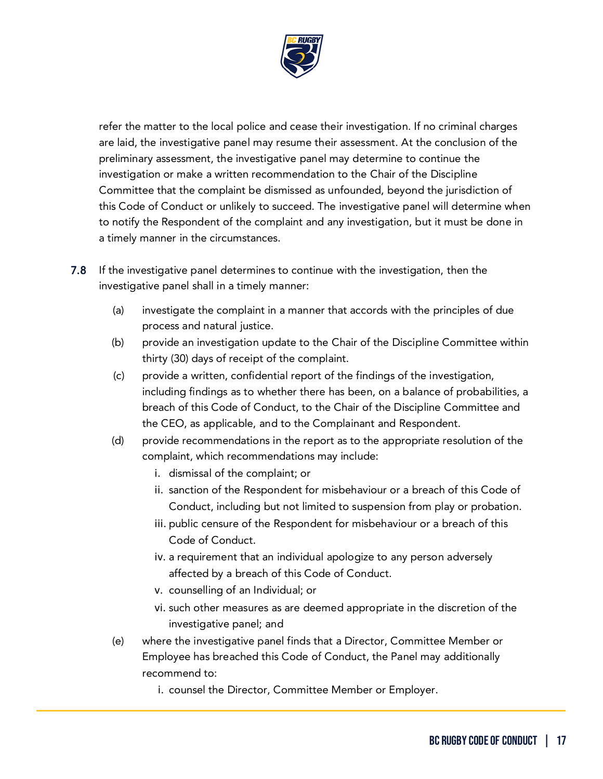

refer the matter to the local police and cease their investigation. If no criminal charges are laid, the investigative panel may resume their assessment. At the conclusion of the preliminary assessment, the investigative panel may determine to continue the investigation or make a written recommendation to the Chair of the Discipline Committee that the complaint be dismissed as unfounded, beyond the jurisdiction of this Code of Conduct or unlikely to succeed. The investigative panel will determine when to notify the Respondent of the complaint and any investigation, but it must be done in a timely manner in the circumstances.

- 7.8 If the investigative panel determines to continue with the investigation, then the investigative panel shall in a timely manner:
	- (a) investigate the complaint in a manner that accords with the principles of due process and natural justice.
	- (b) provide an investigation update to the Chair of the Discipline Committee within thirty (30) days of receipt of the complaint.
	- (c) provide a written, confidential report of the findings of the investigation, including findings as to whether there has been, on a balance of probabilities, a breach of this Code of Conduct, to the Chair of the Discipline Committee and the CEO, as applicable, and to the Complainant and Respondent.
	- (d) provide recommendations in the report as to the appropriate resolution of the complaint, which recommendations may include:
		- i. dismissal of the complaint; or
		- ii. sanction of the Respondent for misbehaviour or a breach of this Code of Conduct, including but not limited to suspension from play or probation.
		- iii. public censure of the Respondent for misbehaviour or a breach of this Code of Conduct.
		- iv. a requirement that an individual apologize to any person adversely affected by a breach of this Code of Conduct.
		- v. counselling of an Individual; or
		- vi. such other measures as are deemed appropriate in the discretion of the investigative panel; and
	- (e) where the investigative panel finds that a Director, Committee Member or Employee has breached this Code of Conduct, the Panel may additionally recommend to:
		- i. counsel the Director, Committee Member or Employer.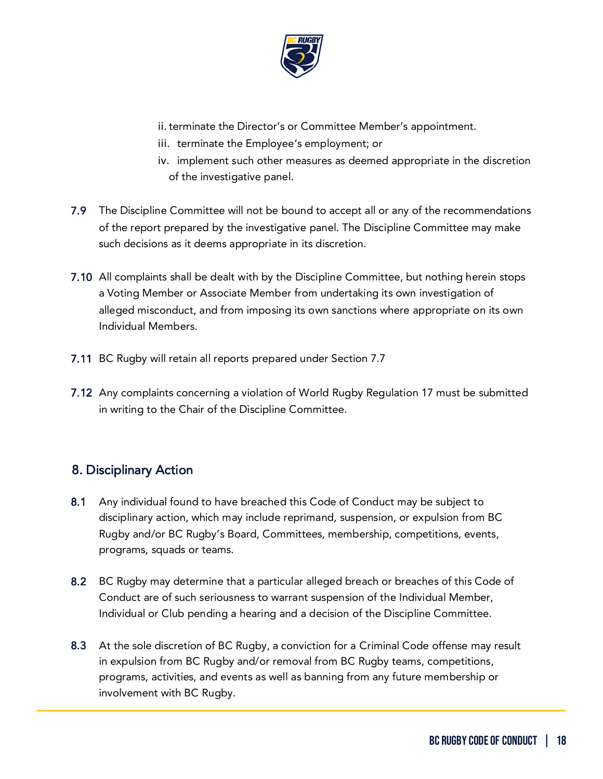

ii. terminate the Director's or Committee Member's appointment.

- iii. terminate the Employee's employment; or
- iv. implement such other measures as deemed appropriate in the discretion of the investigative panel.
- 7.9 The Discipline Committee will not be bound to accept all or any of the recommendations of the report prepared by the investigative panel. The Discipline Committee may make such decisions as it deems appropriate in its discretion.
- 7.10 All complaints shall be dealt with by the Discipline Committee, but nothing herein stops a Voting Member or Associate Member from undertaking its own investigation of alleged misconduct, and from imposing its own sanctions where appropriate on its own Individual Members.
- 7.11 BC Rugby will retain all reports prepared under Section 7.7
- 7.12 Any complaints concerning a violation of World Rugby Regulation 17 must be submitted in writing to the Chair of the Discipline Committee.

## <span id="page-17-0"></span>8. Disciplinary Action

- 8.1 Any individual found to have breached this Code of Conduct may be subject to disciplinary action, which may include reprimand, suspension, or expulsion from BC Rugby and/or BC Rugby's Board, Committees, membership, competitions, events, programs, squads or teams.
- 8.2 BC Rugby may determine that a particular alleged breach or breaches of this Code of Conduct are of such seriousness to warrant suspension of the Individual Member, Individual or Club pending a hearing and a decision of the Discipline Committee.
- 8.3 At the sole discretion of BC Rugby, a conviction for a Criminal Code offense may result in expulsion from BC Rugby and/or removal from BC Rugby teams, competitions, programs, activities, and events as well as banning from any future membership or involvement with BC Rugby.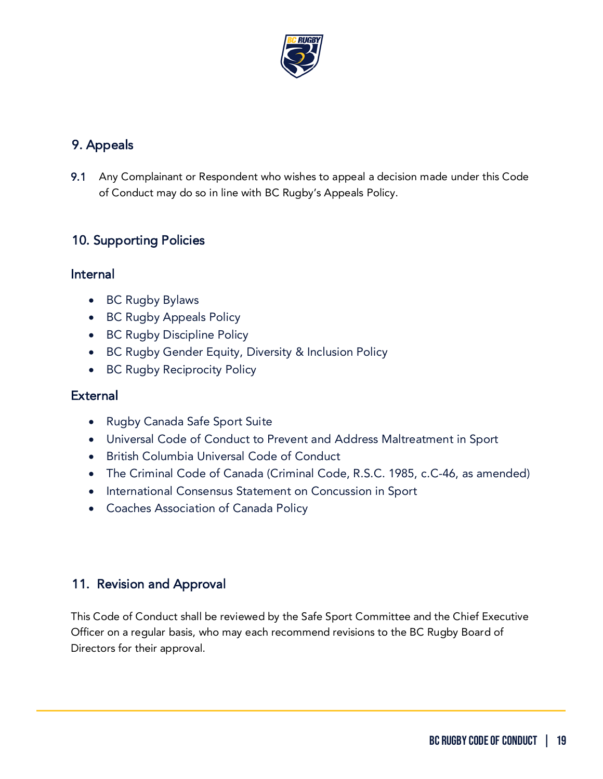

# <span id="page-18-0"></span>9. Appeals

9.1 Any Complainant or Respondent who wishes to appeal a decision made under this Code of Conduct may do so in line with BC Rugby's Appeals Policy.

## <span id="page-18-1"></span>10. Supporting Policies

#### Internal

- BC Rugby Bylaws
- BC Rugby Appeals Policy
- BC Rugby Discipline Policy
- BC Rugby Gender Equity, Diversity & Inclusion Policy
- BC Rugby Reciprocity Policy

### **External**

- Rugby Canada Safe Sport Suite
- Universal Code of Conduct to Prevent and Address Maltreatment in Sport
- British Columbia Universal Code of Conduct
- The Criminal Code of Canada (Criminal Code, R.S.C. 1985, c.C-46, as amended)
- International Consensus Statement on Concussion in Sport
- Coaches Association of Canada Policy

## 11. Revision and Approval

This Code of Conduct shall be reviewed by the Safe Sport Committee and the Chief Executive Officer on a regular basis, who may each recommend revisions to the BC Rugby Board of Directors for their approval.